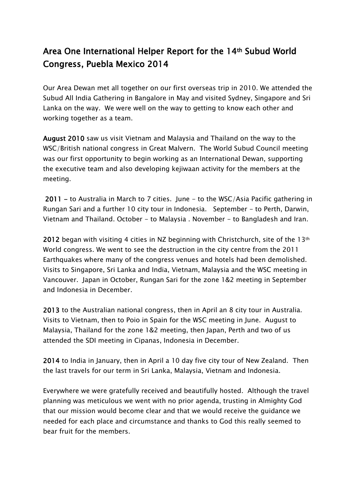## Area One International Helper Report for the 14th Subud World Congress, Puebla Mexico 2014

Our Area Dewan met all together on our first overseas trip in 2010. We attended the Subud All India Gathering in Bangalore in May and visited Sydney, Singapore and Sri Lanka on the way. We were well on the way to getting to know each other and working together as a team.

August 2010 saw us visit Vietnam and Malaysia and Thailand on the way to the WSC/British national congress in Great Malvern. The World Subud Council meeting was our first opportunity to begin working as an International Dewan, supporting the executive team and also developing kejiwaan activity for the members at the meeting.

2011 - to Australia in March to 7 cities. June - to the WSC/Asia Pacific gathering in Rungan Sari and a further 10 city tour in Indonesia. September - to Perth, Darwin, Vietnam and Thailand. October - to Malaysia . November - to Bangladesh and Iran.

2012 began with visiting 4 cities in NZ beginning with Christchurch, site of the 13<sup>th</sup> World congress. We went to see the destruction in the city centre from the 2011 Earthquakes where many of the congress venues and hotels had been demolished. Visits to Singapore, Sri Lanka and India, Vietnam, Malaysia and the WSC meeting in Vancouver. Japan in October, Rungan Sari for the zone 1&2 meeting in September and Indonesia in December.

2013 to the Australian national congress, then in April an 8 city tour in Australia. Visits to Vietnam, then to Poio in Spain for the WSC meeting in June. August to Malaysia, Thailand for the zone 1&2 meeting, then Japan, Perth and two of us attended the SDI meeting in Cipanas, Indonesia in December.

2014 to India in January, then in April a 10 day five city tour of New Zealand. Then the last travels for our term in Sri Lanka, Malaysia, Vietnam and Indonesia.

Everywhere we were gratefully received and beautifully hosted. Although the travel planning was meticulous we went with no prior agenda, trusting in Almighty God that our mission would become clear and that we would receive the guidance we needed for each place and circumstance and thanks to God this really seemed to bear fruit for the members.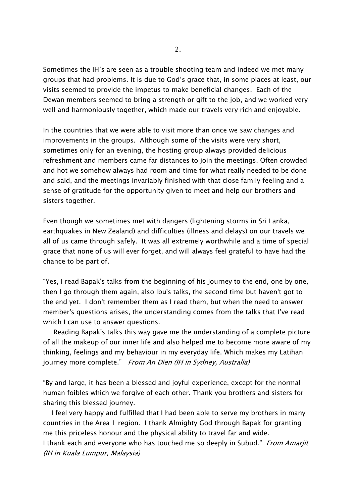Sometimes the IH's are seen as a trouble shooting team and indeed we met many groups that had problems. It is due to God's grace that, in some places at least, our visits seemed to provide the impetus to make beneficial changes. Each of the Dewan members seemed to bring a strength or gift to the job, and we worked very well and harmoniously together, which made our travels very rich and enjoyable.

In the countries that we were able to visit more than once we saw changes and improvements in the groups. Although some of the visits were very short, sometimes only for an evening, the hosting group always provided delicious refreshment and members came far distances to join the meetings. Often crowded and hot we somehow always had room and time for what really needed to be done and said, and the meetings invariably finished with that close family feeling and a sense of gratitude for the opportunity given to meet and help our brothers and sisters together.

Even though we sometimes met with dangers (lightening storms in Sri Lanka, earthquakes in New Zealand) and difficulties (illness and delays) on our travels we all of us came through safely. It was all extremely worthwhile and a time of special grace that none of us will ever forget, and will always feel grateful to have had the chance to be part of.

"Yes, I read Bapak's talks from the beginning of his journey to the end, one by one, then I go through them again, also Ibu's talks, the second time but haven't got to the end yet. I don't remember them as I read them, but when the need to answer member's questions arises, the understanding comes from the talks that I've read which I can use to answer questions.

 Reading Bapak's talks this way gave me the understanding of a complete picture of all the makeup of our inner life and also helped me to become more aware of my thinking, feelings and my behaviour in my everyday life. Which makes my Latihan journey more complete." From An Dien (IH in Sydney, Australia)

"By and large, it has been a blessed and joyful experience, except for the normal human foibles which we forgive of each other. Thank you brothers and sisters for sharing this blessed journey.

 I feel very happy and fulfilled that I had been able to serve my brothers in many countries in the Area 1 region. I thank Almighty God through Bapak for granting me this priceless honour and the physical ability to travel far and wide. I thank each and everyone who has touched me so deeply in Subud." From Amarjit (IH in Kuala Lumpur, Malaysia)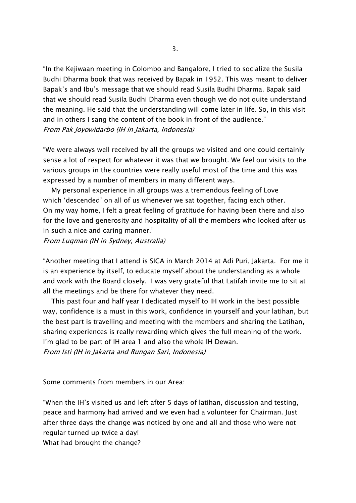"In the Kejiwaan meeting in Colombo and Bangalore, I tried to socialize the Susila Budhi Dharma book that was received by Bapak in 1952. This was meant to deliver Bapak's and Ibu's message that we should read Susila Budhi Dharma. Bapak said that we should read Susila Budhi Dharma even though we do not quite understand the meaning. He said that the understanding will come later in life. So, in this visit and in others I sang the content of the book in front of the audience." From Pak Joyowidarbo (IH in Jakarta, Indonesia)

"We were always well received by all the groups we visited and one could certainly sense a lot of respect for whatever it was that we brought. We feel our visits to the various groups in the countries were really useful most of the time and this was expressed by a number of members in many different ways.

 My personal experience in all groups was a tremendous feeling of Love which 'descended' on all of us whenever we sat together, facing each other. On my way home, I felt a great feeling of gratitude for having been there and also for the love and generosity and hospitality of all the members who looked after us in such a nice and caring manner."

From Luqman (IH in Sydney, Australia)

"Another meeting that I attend is SICA in March 2014 at Adi Puri, Jakarta. For me it is an experience by itself, to educate myself about the understanding as a whole and work with the Board closely. I was very grateful that Latifah invite me to sit at all the meetings and be there for whatever they need.

 This past four and half year I dedicated myself to IH work in the best possible way, confidence is a must in this work, confidence in yourself and your latihan, but the best part is travelling and meeting with the members and sharing the Latihan, sharing experiences is really rewarding which gives the full meaning of the work. I'm glad to be part of IH area 1 and also the whole IH Dewan.

From Isti (IH in Jakarta and Rungan Sari, Indonesia)

Some comments from members in our Area:

"When the IH's visited us and left after 5 days of latihan, discussion and testing, peace and harmony had arrived and we even had a volunteer for Chairman. Just after three days the change was noticed by one and all and those who were not regular turned up twice a day!

What had brought the change?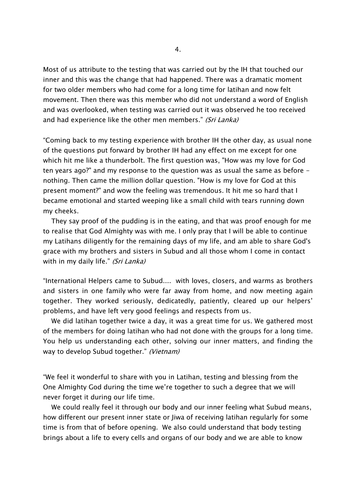Most of us attribute to the testing that was carried out by the IH that touched our inner and this was the change that had happened. There was a dramatic moment for two older members who had come for a long time for latihan and now felt movement. Then there was this member who did not understand a word of English and was overlooked, when testing was carried out it was observed he too received and had experience like the other men members." (Sri Lanka)

"Coming back to my testing experience with brother IH the other day, as usual none of the questions put forward by brother IH had any effect on me except for one which hit me like a thunderbolt. The first question was, "How was my love for God ten years ago?" and my response to the question was as usual the same as before nothing. Then came the million dollar question. "How is my love for God at this present moment?" and wow the feeling was tremendous. It hit me so hard that I became emotional and started weeping like a small child with tears running down my cheeks.

 They say proof of the pudding is in the eating, and that was proof enough for me to realise that God Almighty was with me. I only pray that I will be able to continue my Latihans diligently for the remaining days of my life, and am able to share God's grace with my brothers and sisters in Subud and all those whom I come in contact with in my daily life." *(Sri Lanka)* 

"International Helpers came to Subud.... with loves, closers, and warms as brothers and sisters in one family who were far away from home, and now meeting again together. They worked seriously, dedicatedly, patiently, cleared up our helpers' problems, and have left very good feelings and respects from us.

 We did latihan together twice a day, it was a great time for us. We gathered most of the members for doing latihan who had not done with the groups for a long time. You help us understanding each other, solving our inner matters, and finding the way to develop Subud together." (Vietnam)

"We feel it wonderful to share with you in Latihan, testing and blessing from the One Almighty God during the time we're together to such a degree that we will never forget it during our life time.

 We could really feel it through our body and our inner feeling what Subud means, how different our present inner state or Jiwa of receiving latihan regularly for some time is from that of before opening. We also could understand that body testing brings about a life to every cells and organs of our body and we are able to know